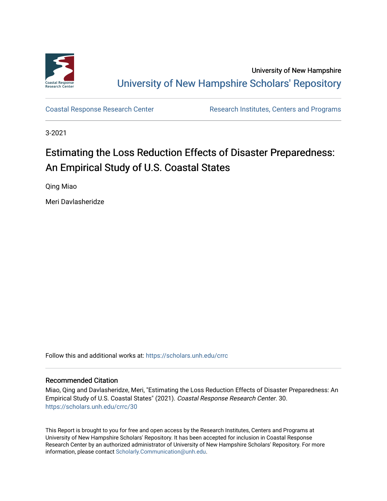

University of New Hampshire [University of New Hampshire Scholars' Repository](https://scholars.unh.edu/) 

[Coastal Response Research Center](https://scholars.unh.edu/crrc) **Research Institutes, Centers and Programs** 

3-2021

# Estimating the Loss Reduction Effects of Disaster Preparedness: An Empirical Study of U.S. Coastal States

Qing Miao

Meri Davlasheridze

Follow this and additional works at: [https://scholars.unh.edu/crrc](https://scholars.unh.edu/crrc?utm_source=scholars.unh.edu%2Fcrrc%2F30&utm_medium=PDF&utm_campaign=PDFCoverPages) 

## Recommended Citation

Miao, Qing and Davlasheridze, Meri, "Estimating the Loss Reduction Effects of Disaster Preparedness: An Empirical Study of U.S. Coastal States" (2021). Coastal Response Research Center. 30. [https://scholars.unh.edu/crrc/30](https://scholars.unh.edu/crrc/30?utm_source=scholars.unh.edu%2Fcrrc%2F30&utm_medium=PDF&utm_campaign=PDFCoverPages)

This Report is brought to you for free and open access by the Research Institutes, Centers and Programs at University of New Hampshire Scholars' Repository. It has been accepted for inclusion in Coastal Response Research Center by an authorized administrator of University of New Hampshire Scholars' Repository. For more information, please contact [Scholarly.Communication@unh.edu.](mailto:Scholarly.Communication@unh.edu)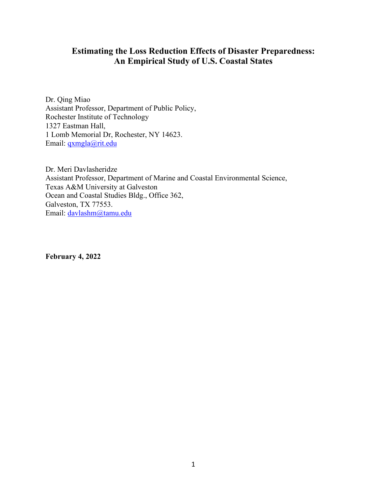# **Estimating the Loss Reduction Effects of Disaster Preparedness: An Empirical Study of U.S. Coastal States**

Dr. Qing Miao Assistant Professor, Department of Public Policy, Rochester Institute of Technology 1327 Eastman Hall, 1 Lomb Memorial Dr, Rochester, NY 14623. Email: [qxmgla@rit.edu](mailto:qxmgla@rit.edu)

Dr. Meri Davlasheridze Assistant Professor, Department of Marine and Coastal Environmental Science, Texas A&M University at Galveston Ocean and Coastal Studies Bldg., Office 362, Galveston, TX 77553. Email: [davlashm@tamu.edu](mailto:davlashm@tamu.edu)

**February 4, 2022**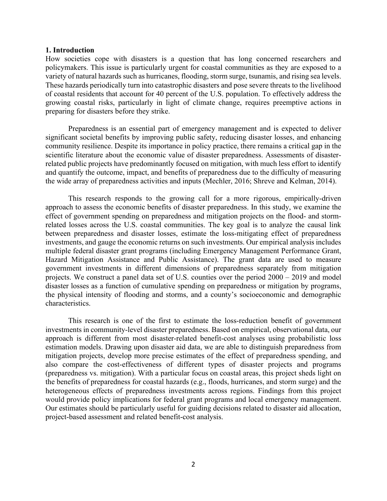#### **1. Introduction**

How societies cope with disasters is a question that has long concerned researchers and policymakers. This issue is particularly urgent for coastal communities as they are exposed to a variety of natural hazards such as hurricanes, flooding, storm surge, tsunamis, and rising sea levels. These hazards periodically turn into catastrophic disasters and pose severe threats to the livelihood of coastal residents that account for 40 percent of the U.S. population. To effectively address the growing coastal risks, particularly in light of climate change, requires preemptive actions in preparing for disasters before they strike.

Preparedness is an essential part of emergency management and is expected to deliver significant societal benefits by improving public safety, reducing disaster losses, and enhancing community resilience. Despite its importance in policy practice, there remains a critical gap in the scientific literature about the economic value of disaster preparedness. Assessments of disasterrelated public projects have predominantly focused on mitigation, with much less effort to identify and quantify the outcome, impact, and benefits of preparedness due to the difficulty of measuring the wide array of preparedness activities and inputs (Mechler, 2016; Shreve and Kelman, 2014).

This research responds to the growing call for a more rigorous, empirically-driven approach to assess the economic benefits of disaster preparedness. In this study, we examine the effect of government spending on preparedness and mitigation projects on the flood- and stormrelated losses across the U.S. coastal communities. The key goal is to analyze the causal link between preparedness and disaster losses, estimate the loss-mitigating effect of preparedness investments, and gauge the economic returns on such investments. Our empirical analysis includes multiple federal disaster grant programs (including Emergency Management Performance Grant, Hazard Mitigation Assistance and Public Assistance). The grant data are used to measure government investments in different dimensions of preparedness separately from mitigation projects. We construct a panel data set of U.S. counties over the period 2000 – 2019 and model disaster losses as a function of cumulative spending on preparedness or mitigation by programs, the physical intensity of flooding and storms, and a county's socioeconomic and demographic characteristics.

This research is one of the first to estimate the loss-reduction benefit of government investments in community-level disaster preparedness. Based on empirical, observational data, our approach is different from most disaster-related benefit-cost analyses using probabilistic loss estimation models. Drawing upon disaster aid data, we are able to distinguish preparedness from mitigation projects, develop more precise estimates of the effect of preparedness spending, and also compare the cost-effectiveness of different types of disaster projects and programs (preparedness vs. mitigation). With a particular focus on coastal areas, this project sheds light on the benefits of preparedness for coastal hazards (e.g., floods, hurricanes, and storm surge) and the heterogeneous effects of preparedness investments across regions. Findings from this project would provide policy implications for federal grant programs and local emergency management. Our estimates should be particularly useful for guiding decisions related to disaster aid allocation, project-based assessment and related benefit-cost analysis.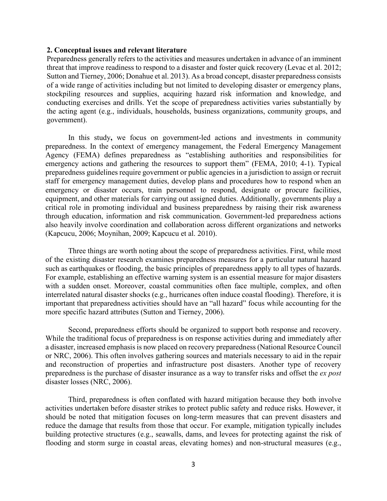## **2. Conceptual issues and relevant literature**

Preparedness generally refers to the activities and measures undertaken in advance of an imminent threat that improve readiness to respond to a disaster and foster quick recovery (Levac et al. 2012; Sutton and Tierney, 2006; Donahue et al. 2013). As a broad concept, disaster preparedness consists of a wide range of activities including but not limited to developing disaster or emergency plans, stockpiling resources and supplies, acquiring hazard risk information and knowledge, and conducting exercises and drills. Yet the scope of preparedness activities varies substantially by the acting agent (e.g., individuals, households, business organizations, community groups, and government).

In this study**,** we focus on government-led actions and investments in community preparedness. In the context of emergency management, the Federal Emergency Management Agency (FEMA) defines preparedness as "establishing authorities and responsibilities for emergency actions and gathering the resources to support them" (FEMA, 2010; 4-1). Typical preparedness guidelines require government or public agencies in a jurisdiction to assign or recruit staff for emergency management duties, develop plans and procedures how to respond when an emergency or disaster occurs, train personnel to respond, designate or procure facilities, equipment, and other materials for carrying out assigned duties. Additionally, governments play a critical role in promoting individual and business preparedness by raising their risk awareness through education, information and risk communication. Government-led preparedness actions also heavily involve coordination and collaboration across different organizations and networks (Kapcucu, 2006; Moynihan, 2009; Kapcucu et al. 2010).

Three things are worth noting about the scope of preparedness activities. First, while most of the existing disaster research examines preparedness measures for a particular natural hazard such as earthquakes or flooding, the basic principles of preparedness apply to all types of hazards. For example, establishing an effective warning system is an essential measure for major disasters with a sudden onset. Moreover, coastal communities often face multiple, complex, and often interrelated natural disaster shocks (e.g., hurricanes often induce coastal flooding). Therefore, it is important that preparedness activities should have an "all hazard" focus while accounting for the more specific hazard attributes (Sutton and Tierney, 2006).

Second, preparedness efforts should be organized to support both response and recovery. While the traditional focus of preparedness is on response activities during and immediately after a disaster, increased emphasis is now placed on recovery preparedness (National Resource Council or NRC, 2006). This often involves gathering sources and materials necessary to aid in the repair and reconstruction of properties and infrastructure post disasters. Another type of recovery preparedness is the purchase of disaster insurance as a way to transfer risks and offset the *ex post* disaster losses (NRC, 2006).

Third, preparedness is often conflated with hazard mitigation because they both involve activities undertaken before disaster strikes to protect public safety and reduce risks. However, it should be noted that mitigation focuses on long-term measures that can prevent disasters and reduce the damage that results from those that occur. For example, mitigation typically includes building protective structures (e.g., seawalls, dams, and levees for protecting against the risk of flooding and storm surge in coastal areas, elevating homes) and non-structural measures (e.g.,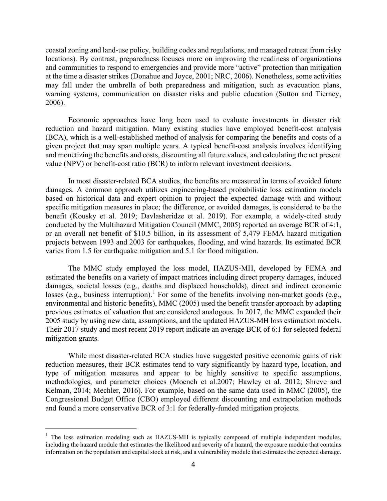coastal zoning and land-use policy, building codes and regulations, and managed retreat from risky locations). By contrast, preparedness focuses more on improving the readiness of organizations and communities to respond to emergencies and provide more "active" protection than mitigation at the time a disaster strikes (Donahue and Joyce, 2001; NRC, 2006). Nonetheless, some activities may fall under the umbrella of both preparedness and mitigation, such as evacuation plans, warning systems, communication on disaster risks and public education (Sutton and Tierney, 2006).

Economic approaches have long been used to evaluate investments in disaster risk reduction and hazard mitigation. Many existing studies have employed benefit-cost analysis (BCA), which is a well-established method of analysis for comparing the benefits and costs of a given project that may span multiple years. A typical benefit-cost analysis involves identifying and monetizing the benefits and costs, discounting all future values, and calculating the net present value (NPV) or benefit-cost ratio (BCR) to inform relevant investment decisions.

In most disaster-related BCA studies, the benefits are measured in terms of avoided future damages. A common approach utilizes engineering-based probabilistic loss estimation models based on historical data and expert opinion to project the expected damage with and without specific mitigation measures in place; the difference, or avoided damages, is considered to be the benefit (Kousky et al. 2019; Davlasheridze et al. 2019). For example, a widely-cited study conducted by the Multihazard Mitigation Council (MMC, 2005) reported an average BCR of 4:1, or an overall net benefit of \$10.5 billion, in its assessment of 5,479 FEMA hazard mitigation projects between 1993 and 2003 for earthquakes, flooding, and wind hazards. Its estimated BCR varies from 1.5 for earthquake mitigation and 5.1 for flood mitigation.

The MMC study employed the loss model, HAZUS-MH, developed by FEMA and estimated the benefits on a variety of impact matrices including direct property damages, induced damages, societal losses (e.g., deaths and displaced households), direct and indirect economic losses (e.g., business interruption).<sup>[1](#page-4-0)</sup> For some of the benefits involving non-market goods (e.g., environmental and historic benefits), MMC (2005) used the benefit transfer approach by adapting previous estimates of valuation that are considered analogous. In 2017, the MMC expanded their 2005 study by using new data, assumptions, and the updated HAZUS-MH loss estimation models. Their 2017 study and most recent 2019 report indicate an average BCR of 6:1 for selected federal mitigation grants.

While most disaster-related BCA studies have suggested positive economic gains of risk reduction measures, their BCR estimates tend to vary significantly by hazard type, location, and type of mitigation measures and appear to be highly sensitive to specific assumptions, methodologies, and parameter choices (Moench et al.2007; Hawley et al. 2012; Shreve and Kelman, 2014; Mechler, 2016). For example, based on the same data used in MMC (2005), the Congressional Budget Office (CBO) employed different discounting and extrapolation methods and found a more conservative BCR of 3:1 for federally-funded mitigation projects.

<span id="page-4-0"></span><sup>&</sup>lt;sup>1</sup> The loss estimation modeling such as HAZUS-MH is typically composed of multiple independent modules, including the hazard module that estimates the likelihood and severity of a hazard, the exposure module that contains information on the population and capital stock at risk, and a vulnerability module that estimates the expected damage.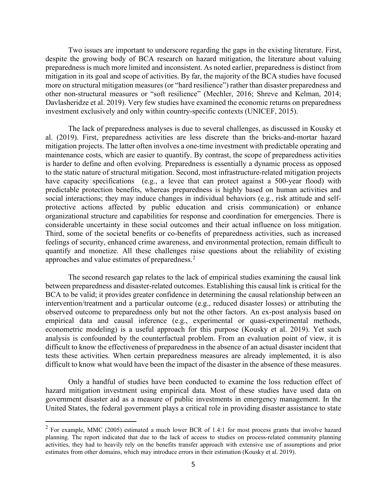Two issues are important to underscore regarding the gaps in the existing literature. First, despite the growing body of BCA research on hazard mitigation, the literature about valuing preparedness is much more limited and inconsistent. As noted earlier, preparedness is distinct from mitigation in its goal and scope of activities. By far, the majority of the BCA studies have focused more on structural mitigation measures (or "hard resilience") rather than disaster preparedness and other non-structural measures or "soft resilience" (Mechler, 2016; Shreve and Kelman, 2014; Davlasheridze et al. 2019). Very few studies have examined the economic returns on preparedness investment exclusively and only within country-specific contexts (UNICEF, 2015).

The lack of preparedness analyses is due to several challenges, as discussed in Kousky et al. (2019). First, preparedness activities are less discrete than the bricks-and-mortar hazard mitigation projects. The latter often involves a one-time investment with predictable operating and maintenance costs, which are easier to quantify. By contrast, the scope of preparedness activities is harder to define and often evolving. Preparedness is essentially a dynamic process as opposed to the static nature of structural mitigation. Second, most infrastructure-related mitigation projects have capacity specifications (e.g., a levee that can protect against a 500-year flood) with predictable protection benefits, whereas preparedness is highly based on human activities and social interactions; they may induce changes in individual behaviors (e.g., risk attitude and selfprotective actions affected by public education and crisis communication) or enhance organizational structure and capabilities for response and coordination for emergencies. There is considerable uncertainty in these social outcomes and their actual influence on loss mitigation. Third, some of the societal benefits or co-benefits of preparedness activities, such as increased feelings of security, enhanced crime awareness, and environmental protection, remain difficult to quantify and monetize. All these challenges raise questions about the reliability of existing approaches and value estimates of preparedness.[2](#page-5-0)

The second research gap relates to the lack of empirical studies examining the causal link between preparedness and disaster-related outcomes. Establishing this causal link is critical for the BCA to be valid; it provides greater confidence in determining the causal relationship between an intervention/treatment and a particular outcome (e.g., reduced disaster losses) or attributing the observed outcome to preparedness only but not the other factors. An ex-post analysis based on empirical data and causal inference (e.g., experimental or quasi-experimental methods, econometric modeling) is a useful approach for this purpose (Kousky et al. 2019). Yet such analysis is confounded by the counterfactual problem. From an evaluation point of view, it is difficult to know the effectiveness of preparedness in the absence of an actual disaster incident that tests these activities. When certain preparedness measures are already implemented, it is also difficult to know what would have been the impact of the disaster in the absence of these measures.

Only a handful of studies have been conducted to examine the loss reduction effect of hazard mitigation investment using empirical data. Most of these studies have used data on government disaster aid as a measure of public investments in emergency management. In the United States, the federal government plays a critical role in providing disaster assistance to state

<span id="page-5-0"></span><sup>&</sup>lt;sup>2</sup> For example, MMC (2005) estimated a much lower BCR of 1.4:1 for most process grants that involve hazard planning. The report indicated that due to the lack of access to studies on process-related community planning activities, they had to heavily rely on the benefits transfer approach with extensive use of assumptions and prior estimates from other domains, which may introduce errors in their estimation (Kousky et al. 2019).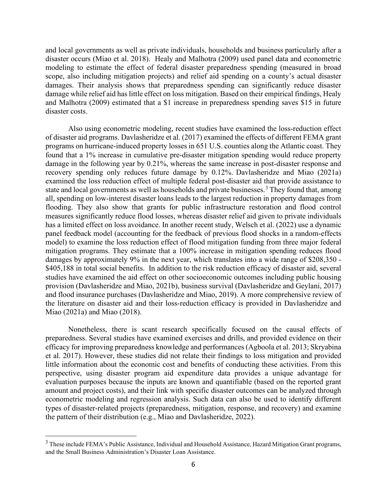and local governments as well as private individuals, households and business particularly after a disaster occurs (Miao et al. 2018). Healy and Malhotra (2009) used panel data and econometric modeling to estimate the effect of federal disaster preparedness spending (measured in broad scope, also including mitigation projects) and relief aid spending on a county's actual disaster damages. Their analysis shows that preparedness spending can significantly reduce disaster damage while relief aid has little effect on loss mitigation. Based on their empirical findings, Healy and Malhotra (2009) estimated that a \$1 increase in preparedness spending saves \$15 in future disaster costs.

Also using econometric modeling, recent studies have examined the loss-reduction effect of disaster aid programs. Davlasheridze et al. (2017) examined the effects of different FEMA grant programs on hurricane-induced property losses in 651 U.S. counties along the Atlantic coast. They found that a 1% increase in cumulative pre-disaster mitigation spending would reduce property damage in the following year by 0.21%, whereas the same increase in post-disaster response and recovery spending only reduces future damage by 0.12%. Davlasheridze and Miao (2021a) examined the loss reduction effect of multiple federal post-disaster aid that provide assistance to state and local governments as well as households and private businesses.<sup>[3](#page-6-0)</sup> They found that, among all, spending on low-interest disaster loans leads to the largest reduction in property damages from flooding. They also show that grants for public infrastructure restoration and flood control measures significantly reduce flood losses, whereas disaster relief aid given to private individuals has a limited effect on loss avoidance. In another recent study, Welsch et al. (2022) use a dynamic panel feedback model (accounting for the feedback of previous flood shocks in a random-effects model) to examine the loss reduction effect of flood mitigation funding from three major federal mitigation programs. They estimate that a 100% increase in mitigation spending reduces flood damages by approximately 9% in the next year, which translates into a wide range of \$208,350 - \$405,188 in total social benefits. In addition to the risk reduction efficacy of disaster aid, several studies have examined the aid effect on other socioeconomic outcomes including public housing provision (Davlasheridze and Miao, 2021b), business survival (Davlasheridze and Geylani, 2017) and flood insurance purchases (Davlasheridze and Miao, 2019). A more comprehensive review of the literature on disaster aid and their loss-reduction efficacy is provided in Davlasheridze and Miao (2021a) and Miao (2018).

Nonetheless, there is scant research specifically focused on the causal effects of preparedness. Several studies have examined exercises and drills, and provided evidence on their efficacy for improving preparedness knowledge and performances (Agboola et al. 2013; Skryabina et al. 2017). However, these studies did not relate their findings to loss mitigation and provided little information about the economic cost and benefits of conducting these activities. From this perspective, using disaster program aid expenditure data provides a unique advantage for evaluation purposes because the inputs are known and quantifiable (based on the reported grant amount and project costs), and their link with specific disaster outcomes can be analyzed through econometric modeling and regression analysis. Such data can also be used to identify different types of disaster-related projects (preparedness, mitigation, response, and recovery) and examine the pattern of their distribution (e.g., Miao and Davlasheridze, 2022).

<span id="page-6-0"></span><sup>&</sup>lt;sup>3</sup> These include FEMA's Public Assistance, Individual and Household Assistance, Hazard Mitigation Grant programs, and the Small Business Administration's Disaster Loan Assistance.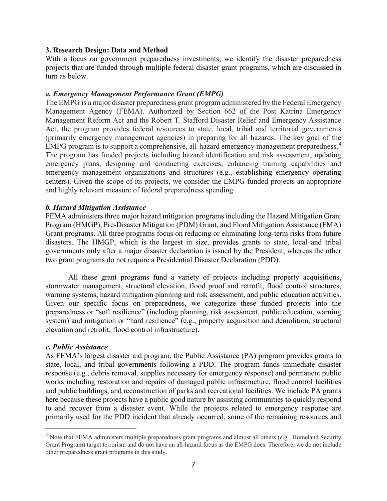# **3. Research Design: Data and Method**

With a focus on government preparedness investments, we identify the disaster preparedness projects that are funded through multiple federal disaster grant programs, which are discussed in turn as below.

# *a. Emergency Management Performance Grant (EMPG)*

The EMPG is a major disaster preparedness grant program administered by the Federal Emergency Management Agency (FEMA). Authorized by Section 662 of the Post Katrina Emergency Management Reform Act and the Robert T. Stafford Disaster Relief and Emergency Assistance Act, the program provides federal resources to state, local, tribal and territorial governments (primarily emergency management agencies) in preparing for all hazards. The key goal of the EMPG program is to support a comprehensive, all-hazard emergency management preparedness.<sup>[4](#page-7-0)</sup> The program has funded projects including hazard identification and risk assessment, updating emergency plans, designing and conducting exercises, enhancing training capabilities and emergency management organizations and structures (e.g., establishing emergency operating centers). Given the scope of its projects, we consider the EMPG-funded projects an appropriate and highly relevant measure of federal preparedness spending.

# *b. Hazard Mitigation Assistance*

FEMA administers three major hazard mitigation programs including the Hazard Mitigation Grant Program (HMGP), Pre-Disaster Mitigation (PDM) Grant, and Flood Mitigation Assistance (FMA) Grant programs. All three programs focus on reducing or eliminating long-term risks from future disasters. The HMGP, which is the largest in size, provides grants to state, local and tribal governments only after a major disaster declaration is issued by the President, whereas the other two grant programs do not require a Presidential Disaster Declaration (PDD).

All these grant programs fund a variety of projects including property acquisitions, stormwater management, structural elevation, flood proof and retrofit, flood control structures, warning systems, hazard mitigation planning and risk assessment, and public education activities. Given our specific focus on preparedness, we categorize these funded projects into the preparedness or "soft resilience" (including planning, risk assessment, public education, warning system) and mitigation or "hard resilience" (e.g., property acquisition and demolition, structural elevation and retrofit, flood control infrastructure).

## *c. Public Assistance*

As FEMA's largest disaster aid program, the Public Assistance (PA) program provides grants to state, local, and tribal governments following a PDD. The program funds immediate disaster response (e.g., debris removal, supplies necessary for emergency response) and permanent public works including restoration and repairs of damaged public infrastructure, flood control facilities and public buildings, and reconstruction of parks and recreational facilities. We include PA grants here because these projects have a public good nature by assisting communities to quickly respond to and recover from a disaster event. While the projects related to emergency response are primarily used for the PDD incident that already occurred, some of the remaining resources and

<span id="page-7-0"></span><sup>&</sup>lt;sup>4</sup> Note that FEMA administers multiple preparedness grant programs and almost all others (e.g., Homeland Security Grant Program) target terrorism and do not have an all-hazard focus as the EMPG does. Therefore, we do not include other preparedness grant programs in this study.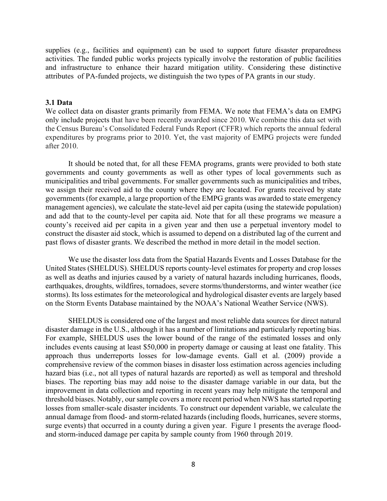supplies (e.g., facilities and equipment) can be used to support future disaster preparedness activities. The funded public works projects typically involve the restoration of public facilities and infrastructure to enhance their hazard mitigation utility. Considering these distinctive attributes of PA-funded projects, we distinguish the two types of PA grants in our study.

## **3.1 Data**

We collect data on disaster grants primarily from FEMA. We note that FEMA's data on EMPG only include projects that have been recently awarded since 2010. We combine this data set with the Census Bureau's Consolidated Federal Funds Report (CFFR) which reports the annual federal expenditures by programs prior to 2010. Yet, the vast majority of EMPG projects were funded after 2010.

It should be noted that, for all these FEMA programs, grants were provided to both state governments and county governments as well as other types of local governments such as municipalities and tribal governments. For smaller governments such as municipalities and tribes, we assign their received aid to the county where they are located. For grants received by state governments (for example, a large proportion of the EMPG grants was awarded to state emergency management agencies), we calculate the state-level aid per capita (using the statewide population) and add that to the county-level per capita aid. Note that for all these programs we measure a county's received aid per capita in a given year and then use a perpetual inventory model to construct the disaster aid stock, which is assumed to depend on a distributed lag of the current and past flows of disaster grants. We described the method in more detail in the model section.

We use the disaster loss data from the Spatial Hazards Events and Losses Database for the United States (SHELDUS). SHELDUS reports county-level estimates for property and crop losses as well as deaths and injuries caused by a variety of natural hazards including hurricanes, floods, earthquakes, droughts, wildfires, tornadoes, severe storms/thunderstorms, and winter weather (ice storms). Its loss estimates for the meteorological and hydrological disaster events are largely based on the Storm Events Database maintained by the NOAA's National Weather Service (NWS).

SHELDUS is considered one of the largest and most reliable data sources for direct natural disaster damage in the U.S., although it has a number of limitations and particularly reporting bias. For example, SHELDUS uses the lower bound of the range of the estimated losses and only includes events causing at least \$50,000 in property damage or causing at least one fatality. This approach thus underreports losses for low-damage events. Gall et al. (2009) provide a comprehensive review of the common biases in disaster loss estimation across agencies including hazard bias (i.e., not all types of natural hazards are reported) as well as temporal and threshold biases. The reporting bias may add noise to the disaster damage variable in our data, but the improvement in data collection and reporting in recent years may help mitigate the temporal and threshold biases. Notably, our sample covers a more recent period when NWS has started reporting losses from smaller-scale disaster incidents. To construct our dependent variable, we calculate the annual damage from flood- and storm-related hazards (including floods, hurricanes, severe storms, surge events) that occurred in a county during a given year. Figure 1 presents the average floodand storm-induced damage per capita by sample county from 1960 through 2019.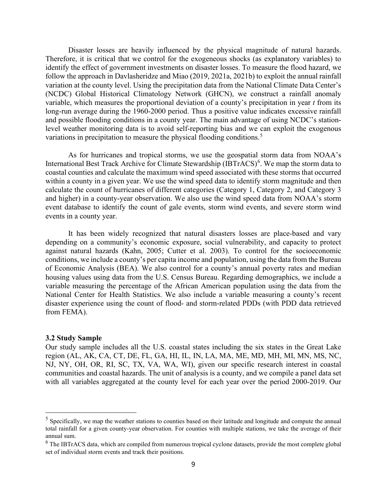Disaster losses are heavily influenced by the physical magnitude of natural hazards. Therefore, it is critical that we control for the exogeneous shocks (as explanatory variables) to identify the effect of government investments on disaster losses. To measure the flood hazard, we follow the approach in Davlasheridze and Miao (2019, 2021a, 2021b) to exploit the annual rainfall variation at the county level. Using the precipitation data from the National Climate Data Center's (NCDC) Global Historical Climatology Network (GHCN), we construct a rainfall anomaly variable, which measures the proportional deviation of a county's precipitation in year *t* from its long-run average during the 1960-2000 period. Thus a positive value indicates excessive rainfall and possible flooding conditions in a county year. The main advantage of using NCDC's stationlevel weather monitoring data is to avoid self-reporting bias and we can exploit the exogenous variations in precipitation to measure the physical flooding conditions.<sup>[5](#page-9-0)</sup>

As for hurricanes and tropical storms, we use the geospatial storm data from NOAA's International Best Track Archive for Climate Stewardship (IBTrACS)<sup>[6](#page-9-1)</sup>. We map the storm data to coastal counties and calculate the maximum wind speed associated with these storms that occurred within a county in a given year. We use the wind speed data to identify storm magnitude and then calculate the count of hurricanes of different categories (Category 1, Category 2, and Category 3 and higher) in a county-year observation. We also use the wind speed data from NOAA's storm event database to identify the count of gale events, storm wind events, and severe storm wind events in a county year.

It has been widely recognized that natural disasters losses are place-based and vary depending on a community's economic exposure, social vulnerability, and capacity to protect against natural hazards (Kahn, 2005; Cutter et al. 2003). To control for the socioeconomic conditions, we include a county's per capita income and population, using the data from the Bureau of Economic Analysis (BEA). We also control for a county's annual poverty rates and median housing values using data from the U.S. Census Bureau. Regarding demographics, we include a variable measuring the percentage of the African American population using the data from the National Center for Health Statistics. We also include a variable measuring a county's recent disaster experience using the count of flood- and storm-related PDDs (with PDD data retrieved from FEMA).

#### **3.2 Study Sample**

Our study sample includes all the U.S. coastal states including the six states in the Great Lake region (AL, AK, CA, CT, DE, FL, GA, HI, IL, IN, LA, MA, ME, MD, MH, MI, MN, MS, NC, NJ, NY, OH, OR, RI, SC, TX, VA, WA, WI), given our specific research interest in coastal communities and coastal hazards. The unit of analysis is a county, and we compile a panel data set with all variables aggregated at the county level for each year over the period 2000-2019. Our

<span id="page-9-0"></span><sup>&</sup>lt;sup>5</sup> Specifically, we map the weather stations to counties based on their latitude and longitude and compute the annual total rainfall for a given county-year observation. For counties with multiple stations, we take the average of their annual sum.

<span id="page-9-1"></span> $6$  The IBTrACS data, which are compiled from numerous tropical cyclone datasets, provide the most complete global set of individual storm events and track their positions.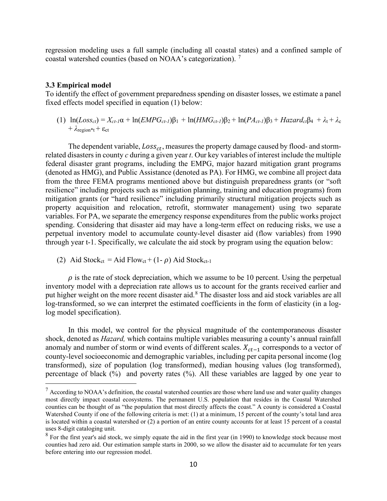regression modeling uses a full sample (including all coastal states) and a confined sample of coastal watershed counties (based on NOAA's categorization). [7](#page-10-0)

#### **3.3 Empirical model**

To identify the effect of government preparedness spending on disaster losses, we estimate a panel fixed effects model specified in equation (1) below:

(1)  $\ln(Loss_{ct}) = X_{ct-1}\alpha + \ln(EMPG_{ct-1})\beta_1 + \ln(HMG_{ct-1})\beta_2 + \ln(PA_{ct-1})\beta_3 + Hazardc_1\beta_4 + \lambda_t + \lambda_c$  $+ \lambda_{\text{region}*t} + \varepsilon_{\text{ct}}$ 

The dependent variable,  $Loss_{ct}$ , measures the property damage caused by flood- and stormrelated disasters in county *c* during a given year *t*. Our key variables of interest include the multiple federal disaster grant programs, including the EMPG, major hazard mitigation grant programs (denoted as HMG), and Public Assistance (denoted as PA). For HMG, we combine all project data from the three FEMA programs mentioned above but distinguish preparedness grants (or "soft resilience" including projects such as mitigation planning, training and education programs) from mitigation grants (or "hard resilience" including primarily structural mitigation projects such as property acquisition and relocation, retrofit, stormwater management) using two separate variables. For PA, we separate the emergency response expenditures from the public works project spending. Considering that disaster aid may have a long-term effect on reducing risks, we use a perpetual inventory model to accumulate county-level disaster aid (flow variables) from 1990 through year t-1. Specifically, we calculate the aid stock by program using the equation below:

(2) Aid Stock<sub>ct</sub> = Aid Flow<sub>ct</sub> + (1- $\rho$ ) Aid Stock<sub>ct-1</sub>

 $\rho$  is the rate of stock depreciation, which we assume to be 10 percent. Using the perpetual inventory model with a depreciation rate allows us to account for the grants received earlier and put higher weight on the more recent disaster aid.<sup>[8](#page-10-1)</sup> The disaster loss and aid stock variables are all log-transformed, so we can interpret the estimated coefficients in the form of elasticity (in a loglog model specification).

In this model, we control for the physical magnitude of the contemporaneous disaster shock, denoted as *Hazard,* which contains multiple variables measuring a county's annual rainfall anomaly and number of storm or wind events of different scales.  $X_{ct-1}$  corresponds to a vector of county-level socioeconomic and demographic variables, including per capita personal income (log transformed), size of population (log transformed), median housing values (log transformed), percentage of black (%) and poverty rates (%). All these variables are lagged by one year to

<span id="page-10-0"></span> $<sup>7</sup>$  According to NOAA's definition, the coastal watershed counties are those where land use and water quality changes</sup> most directly impact coastal ecosystems. The permanent U.S. population that resides in the Coastal Watershed counties can be thought of as "the population that most directly affects the coast." A county is considered a Coastal Watershed County if one of the following criteria is met: (1) at a minimum, 15 percent of the county's total land area is located within a coastal watershed or (2) a portion of an entire county accounts for at least 15 percent of a coastal uses 8-digit cataloging unit.

<span id="page-10-1"></span><sup>&</sup>lt;sup>8</sup> For the first year's aid stock, we simply equate the aid in the first year (in 1990) to knowledge stock because most counties had zero aid. Our estimation sample starts in 2000, so we allow the disaster aid to accumulate for ten years before entering into our regression model.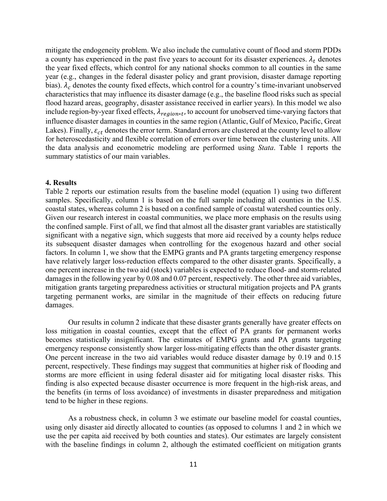mitigate the endogeneity problem. We also include the cumulative count of flood and storm PDDs a county has experienced in the past five years to account for its disaster experiences.  $\lambda_t$  denotes the year fixed effects, which control for any national shocks common to all counties in the same year (e.g., changes in the federal disaster policy and grant provision, disaster damage reporting bias).  $\lambda_c$  denotes the county fixed effects, which control for a country's time-invariant unobserved characteristics that may influence its disaster damage (e.g., the baseline flood risks such as special flood hazard areas, geography, disaster assistance received in earlier years). In this model we also include region-by-year fixed effects,  $\lambda_{region*t}$ , to account for unobserved time-varying factors that influence disaster damages in counties in the same region (Atlantic, Gulf of Mexico, Pacific, Great Lakes). Finally,  $\varepsilon_{ct}$  denotes the error term. Standard errors are clustered at the county level to allow for heteroscedasticity and flexible correlation of errors over time between the clustering units. All the data analysis and econometric modeling are performed using *Stata*. Table 1 reports the summary statistics of our main variables.

## **4. Results**

Table 2 reports our estimation results from the baseline model (equation 1) using two different samples. Specifically, column 1 is based on the full sample including all counties in the U.S. coastal states, whereas column 2 is based on a confined sample of coastal watershed counties only. Given our research interest in coastal communities, we place more emphasis on the results using the confined sample. First of all, we find that almost all the disaster grant variables are statistically significant with a negative sign, which suggests that more aid received by a county helps reduce its subsequent disaster damages when controlling for the exogenous hazard and other social factors. In column 1, we show that the EMPG grants and PA grants targeting emergency response have relatively larger loss-reduction effects compared to the other disaster grants. Specifically, a one percent increase in the two aid (stock) variables is expected to reduce flood- and storm-related damages in the following year by 0.08 and 0.07 percent, respectively. The other three aid variables, mitigation grants targeting preparedness activities or structural mitigation projects and PA grants targeting permanent works, are similar in the magnitude of their effects on reducing future damages.

Our results in column 2 indicate that these disaster grants generally have greater effects on loss mitigation in coastal counties, except that the effect of PA grants for permanent works becomes statistically insignificant. The estimates of EMPG grants and PA grants targeting emergency response consistently show larger loss-mitigating effects than the other disaster grants. One percent increase in the two aid variables would reduce disaster damage by 0.19 and 0.15 percent, respectively. These findings may suggest that communities at higher risk of flooding and storms are more efficient in using federal disaster aid for mitigating local disaster risks. This finding is also expected because disaster occurrence is more frequent in the high-risk areas, and the benefits (in terms of loss avoidance) of investments in disaster preparedness and mitigation tend to be higher in these regions.

As a robustness check, in column 3 we estimate our baseline model for coastal counties, using only disaster aid directly allocated to counties (as opposed to columns 1 and 2 in which we use the per capita aid received by both counties and states). Our estimates are largely consistent with the baseline findings in column 2, although the estimated coefficient on mitigation grants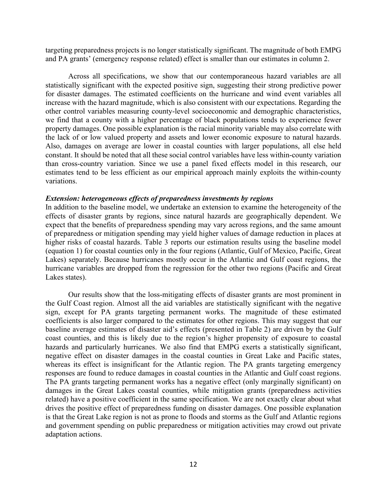targeting preparedness projects is no longer statistically significant. The magnitude of both EMPG and PA grants' (emergency response related) effect is smaller than our estimates in column 2.

Across all specifications, we show that our contemporaneous hazard variables are all statistically significant with the expected positive sign, suggesting their strong predictive power for disaster damages. The estimated coefficients on the hurricane and wind event variables all increase with the hazard magnitude, which is also consistent with our expectations. Regarding the other control variables measuring county-level socioeconomic and demographic characteristics, we find that a county with a higher percentage of black populations tends to experience fewer property damages. One possible explanation is the racial minority variable may also correlate with the lack of or low valued property and assets and lower economic exposure to natural hazards. Also, damages on average are lower in coastal counties with larger populations, all else held constant. It should be noted that all these social control variables have less within-county variation than cross-country variation. Since we use a panel fixed effects model in this research, our estimates tend to be less efficient as our empirical approach mainly exploits the within-county variations.

#### *Extension: heterogeneous effects of preparedness investments by regions*

In addition to the baseline model, we undertake an extension to examine the heterogeneity of the effects of disaster grants by regions, since natural hazards are geographically dependent. We expect that the benefits of preparedness spending may vary across regions, and the same amount of preparedness or mitigation spending may yield higher values of damage reduction in places at higher risks of coastal hazards. Table 3 reports our estimation results using the baseline model (equation 1) for coastal counties only in the four regions (Atlantic, Gulf of Mexico, Pacific, Great Lakes) separately. Because hurricanes mostly occur in the Atlantic and Gulf coast regions, the hurricane variables are dropped from the regression for the other two regions (Pacific and Great Lakes states).

Our results show that the loss-mitigating effects of disaster grants are most prominent in the Gulf Coast region. Almost all the aid variables are statistically significant with the negative sign, except for PA grants targeting permanent works. The magnitude of these estimated coefficients is also larger compared to the estimates for other regions. This may suggest that our baseline average estimates of disaster aid's effects (presented in Table 2) are driven by the Gulf coast counties, and this is likely due to the region's higher propensity of exposure to coastal hazards and particularly hurricanes. We also find that EMPG exerts a statistically significant, negative effect on disaster damages in the coastal counties in Great Lake and Pacific states, whereas its effect is insignificant for the Atlantic region. The PA grants targeting emergency responses are found to reduce damages in coastal counties in the Atlantic and Gulf coast regions. The PA grants targeting permanent works has a negative effect (only marginally significant) on damages in the Great Lakes coastal counties, while mitigation grants (preparedness activities related) have a positive coefficient in the same specification. We are not exactly clear about what drives the positive effect of preparedness funding on disaster damages. One possible explanation is that the Great Lake region is not as prone to floods and storms as the Gulf and Atlantic regions and government spending on public preparedness or mitigation activities may crowd out private adaptation actions.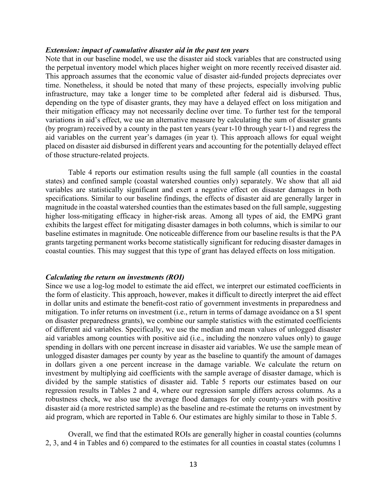#### *Extension: impact of cumulative disaster aid in the past ten years*

Note that in our baseline model, we use the disaster aid stock variables that are constructed using the perpetual inventory model which places higher weight on more recently received disaster aid. This approach assumes that the economic value of disaster aid-funded projects depreciates over time. Nonetheless, it should be noted that many of these projects, especially involving public infrastructure, may take a longer time to be completed after federal aid is disbursed. Thus, depending on the type of disaster grants, they may have a delayed effect on loss mitigation and their mitigation efficacy may not necessarily decline over time. To further test for the temporal variations in aid's effect, we use an alternative measure by calculating the sum of disaster grants (by program) received by a county in the past ten years (year t-10 through year t-1) and regress the aid variables on the current year's damages (in year t). This approach allows for equal weight placed on disaster aid disbursed in different years and accounting for the potentially delayed effect of those structure-related projects.

Table 4 reports our estimation results using the full sample (all counties in the coastal states) and confined sample (coastal watershed counties only) separately. We show that all aid variables are statistically significant and exert a negative effect on disaster damages in both specifications. Similar to our baseline findings, the effects of disaster aid are generally larger in magnitude in the coastal watershed counties than the estimates based on the full sample, suggesting higher loss-mitigating efficacy in higher-risk areas. Among all types of aid, the EMPG grant exhibits the largest effect for mitigating disaster damages in both columns, which is similar to our baseline estimates in magnitude. One noticeable difference from our baseline results is that the PA grants targeting permanent works become statistically significant for reducing disaster damages in coastal counties. This may suggest that this type of grant has delayed effects on loss mitigation.

#### *Calculating the return on investments (ROI)*

Since we use a log-log model to estimate the aid effect, we interpret our estimated coefficients in the form of elasticity. This approach, however, makes it difficult to directly interpret the aid effect in dollar units and estimate the benefit-cost ratio of government investments in preparedness and mitigation. To infer returns on investment (i.e., return in terms of damage avoidance on a \$1 spent on disaster preparedness grants), we combine our sample statistics with the estimated coefficients of different aid variables. Specifically, we use the median and mean values of unlogged disaster aid variables among counties with positive aid (i.e., including the nonzero values only) to gauge spending in dollars with one percent increase in disaster aid variables. We use the sample mean of unlogged disaster damages per county by year as the baseline to quantify the amount of damages in dollars given a one percent increase in the damage variable. We calculate the return on investment by multiplying aid coefficients with the sample average of disaster damage, which is divided by the sample statistics of disaster aid. Table 5 reports our estimates based on our regression results in Tables 2 and 4, where our regression sample differs across columns. As a robustness check, we also use the average flood damages for only county-years with positive disaster aid (a more restricted sample) as the baseline and re-estimate the returns on investment by aid program, which are reported in Table 6. Our estimates are highly similar to those in Table 5.

Overall, we find that the estimated ROIs are generally higher in coastal counties (columns 2, 3, and 4 in Tables and 6) compared to the estimates for all counties in coastal states (columns 1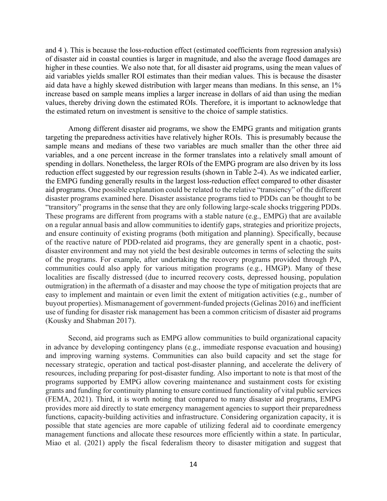and 4 ). This is because the loss-reduction effect (estimated coefficients from regression analysis) of disaster aid in coastal counties is larger in magnitude, and also the average flood damages are higher in these counties. We also note that, for all disaster aid programs, using the mean values of aid variables yields smaller ROI estimates than their median values. This is because the disaster aid data have a highly skewed distribution with larger means than medians. In this sense, an 1% increase based on sample means implies a larger increase in dollars of aid than using the median values, thereby driving down the estimated ROIs. Therefore, it is important to acknowledge that the estimated return on investment is sensitive to the choice of sample statistics.

Among different disaster aid programs, we show the EMPG grants and mitigation grants targeting the preparedness activities have relatively higher ROIs. This is presumably because the sample means and medians of these two variables are much smaller than the other three aid variables, and a one percent increase in the former translates into a relatively small amount of spending in dollars. Nonetheless, the larger ROIs of the EMPG program are also driven by its loss reduction effect suggested by our regression results (shown in Table 2-4). As we indicated earlier, the EMPG funding generally results in the largest loss-reduction effect compared to other disaster aid programs. One possible explanation could be related to the relative "transiency" of the different disaster programs examined here. Disaster assistance programs tied to PDDs can be thought to be "transitory" programs in the sense that they are only following large-scale shocks triggering PDDs. These programs are different from programs with a stable nature (e.g., EMPG) that are available on a regular annual basis and allow communities to identify gaps, strategies and prioritize projects, and ensure continuity of existing programs (both mitigation and planning). Specifically, because of the reactive nature of PDD-related aid programs, they are generally spent in a chaotic, postdisaster environment and may not yield the best desirable outcomes in terms of selecting the suits of the programs. For example, after undertaking the recovery programs provided through PA, communities could also apply for various mitigation programs (e.g., HMGP). Many of these localities are fiscally distressed (due to incurred recovery costs, depressed housing, population outmigration) in the aftermath of a disaster and may choose the type of mitigation projects that are easy to implement and maintain or even limit the extent of mitigation activities (e.g., number of buyout properties). Mismanagement of government-funded projects (Gelinas 2016) and inefficient use of funding for disaster risk management has been a common criticism of disaster aid programs (Kousky and Shabman 2017).

Second, aid programs such as EMPG allow communities to build organizational capacity in advance by developing contingency plans (e.g., immediate response evacuation and housing) and improving warning systems. Communities can also build capacity and set the stage for necessary strategic, operation and tactical post-disaster planning, and accelerate the delivery of resources, including preparing for post-disaster funding. Also important to note is that most of the programs supported by EMPG allow covering maintenance and sustainment costs for existing grants and funding for continuity planning to ensure continued functionality of vital public services (FEMA, 2021). Third, it is worth noting that compared to many disaster aid programs, EMPG provides more aid directly to state emergency management agencies to support their preparedness functions, capacity-building activities and infrastructure. Considering organization capacity, it is possible that state agencies are more capable of utilizing federal aid to coordinate emergency management functions and allocate these resources more efficiently within a state. In particular, Miao et al. (2021) apply the fiscal federalism theory to disaster mitigation and suggest that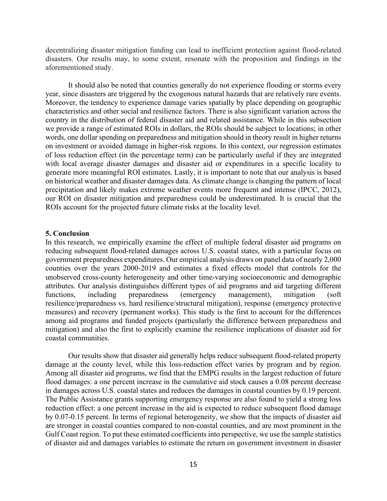decentralizing disaster mitigation funding can lead to inefficient protection against flood-related disasters. Our results may, to some extent, resonate with the proposition and findings in the aforementioned study.

It should also be noted that counties generally do not experience flooding or storms every year, since disasters are triggered by the exogenous natural hazards that are relatively rare events. Moreover, the tendency to experience damage varies spatially by place depending on geographic characteristics and other social and resilience factors. There is also significant variation across the country in the distribution of federal disaster aid and related assistance. While in this subsection we provide a range of estimated ROIs in dollars, the ROIs should be subject to locations; in other words, one dollar spending on preparedness and mitigation should in theory result in higher returns on investment or avoided damage in higher-risk regions. In this context, our regression estimates of loss reduction effect (in the percentage term) can be particularly useful if they are integrated with local average disaster damages and disaster aid or expenditures in a specific locality to generate more meaningful ROI estimates. Lastly, it is important to note that our analysis is based on historical weather and disaster damages data. As climate change is changing the pattern of local precipitation and likely makes extreme weather events more frequent and intense (IPCC, 2012), our ROI on disaster mitigation and preparedness could be underestimated. It is crucial that the ROIs account for the projected future climate risks at the locality level.

### **5. Conclusion**

In this research, we empirically examine the effect of multiple federal disaster aid programs on reducing subsequent flood-related damages across U.S. coastal states, with a particular focus on government preparedness expenditures. Our empirical analysis draws on panel data of nearly 2,000 counties over the years 2000-2019 and estimates a fixed effects model that controls for the unobserved cross-county heterogeneity and other time-varying socioeconomic and demographic attributes. Our analysis distinguishes different types of aid programs and aid targeting different functions, including preparedness (emergency management), mitigation (soft resilience/preparedness vs. hard resilience/structural mitigation), response (emergency protective measures) and recovery (permanent works). This study is the first to account for the differences among aid programs and funded projects (particularly the difference between preparedness and mitigation) and also the first to explicitly examine the resilience implications of disaster aid for coastal communities.

Our results show that disaster aid generally helps reduce subsequent flood-related property damage at the county level, while this loss-reduction effect varies by program and by region. Among all disaster aid programs, we find that the EMPG results in the largest reduction of future flood damages: a one percent increase in the cumulative aid stock causes a 0.08 percent decrease in damages across U.S. coastal states and reduces the damages in coastal counties by 0.19 percent. The Public Assistance grants supporting emergency response are also found to yield a strong loss reduction effect: a one percent increase in the aid is expected to reduce subsequent flood damage by 0.07-0.15 percent. In terms of regional heterogeneity, we show that the impacts of disaster aid are stronger in coastal counties compared to non-coastal counties, and are most prominent in the Gulf Coast region. To put these estimated coefficients into perspective, we use the sample statistics of disaster aid and damages variables to estimate the return on government investment in disaster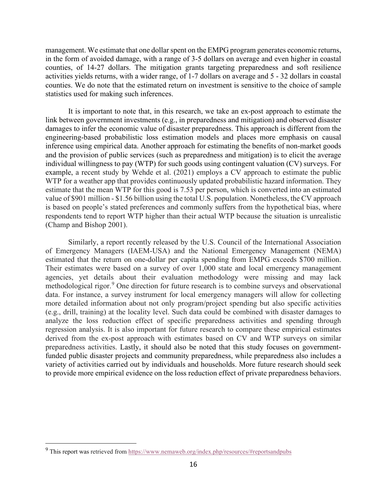management. We estimate that one dollar spent on the EMPG program generates economic returns, in the form of avoided damage, with a range of 3-5 dollars on average and even higher in coastal counties, of 14-27 dollars. The mitigation grants targeting preparedness and soft resilience activities yields returns, with a wider range, of 1-7 dollars on average and 5 - 32 dollars in coastal counties. We do note that the estimated return on investment is sensitive to the choice of sample statistics used for making such inferences.

It is important to note that, in this research, we take an ex-post approach to estimate the link between government investments (e.g., in preparedness and mitigation) and observed disaster damages to infer the economic value of disaster preparedness. This approach is different from the engineering-based probabilistic loss estimation models and places more emphasis on causal inference using empirical data. Another approach for estimating the benefits of non-market goods and the provision of public services (such as preparedness and mitigation) is to elicit the average individual willingness to pay (WTP) for such goods using contingent valuation (CV) surveys. For example, a recent study by Wehde et al. (2021) employs a CV approach to estimate the public WTP for a weather app that provides continuously updated probabilistic hazard information. They estimate that the mean WTP for this good is 7.53 per person, which is converted into an estimated value of \$901 million - \$1.56 billion using the total U.S. population. Nonetheless, the CV approach is based on people's stated preferences and commonly suffers from the hypothetical bias, where respondents tend to report WTP higher than their actual WTP because the situation is unrealistic (Champ and Bishop 2001).

Similarly, a report recently released by the U.S. Council of the International Association of Emergency Managers (IAEM-USA) and the National Emergency Management (NEMA) estimated that the return on one-dollar per capita spending from EMPG exceeds \$700 million. Their estimates were based on a survey of over 1,000 state and local emergency management agencies, yet details about their evaluation methodology were missing and may lack methodological rigor.<sup>[9](#page-16-0)</sup> One direction for future research is to combine surveys and observational data. For instance, a survey instrument for local emergency managers will allow for collecting more detailed information about not only program/project spending but also specific activities (e.g., drill, training) at the locality level. Such data could be combined with disaster damages to analyze the loss reduction effect of specific preparedness activities and spending through regression analysis. It is also important for future research to compare these empirical estimates derived from the ex-post approach with estimates based on CV and WTP surveys on similar preparedness activities. Lastly, it should also be noted that this study focuses on governmentfunded public disaster projects and community preparedness, while preparedness also includes a variety of activities carried out by individuals and households. More future research should seek to provide more empirical evidence on the loss reduction effect of private preparedness behaviors.

<span id="page-16-0"></span><sup>&</sup>lt;sup>9</sup> This report was retrieved from<https://www.nemaweb.org/index.php/resources/#reportsandpubs>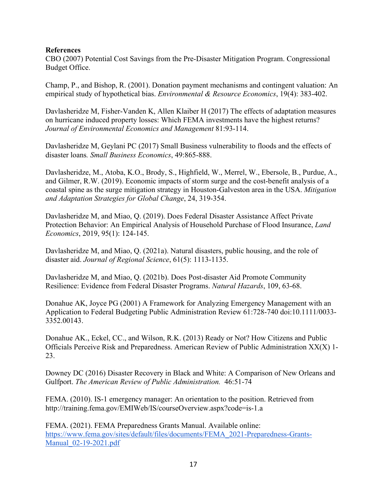# **References**

CBO (2007) Potential Cost Savings from the Pre-Disaster Mitigation Program. Congressional Budget Office.

Champ, P., and Bishop, R. (2001). Donation payment mechanisms and contingent valuation: An empirical study of hypothetical bias. *Environmental & Resource Economics*, 19(4): 383-402.

Davlasheridze M, Fisher-Vanden K, Allen Klaiber H (2017) The effects of adaptation measures on hurricane induced property losses: Which FEMA investments have the highest returns? *Journal of Environmental Economics and Management* 81:93-114.

Davlasheridze M, Geylani PC (2017) Small Business vulnerability to floods and the effects of disaster loans*. Small Business Economics*, 49:865-888.

Davlasheridze, M., Atoba, K.O., Brody, S., Highfield, W., Merrel, W., Ebersole, B., Purdue, A., and Gilmer, R.W. (2019). Economic impacts of storm surge and the cost-benefit analysis of a coastal spine as the surge mitigation strategy in Houston-Galveston area in the USA. *Mitigation and Adaptation Strategies for Global Change*, 24, 319-354.

Davlasheridze M, and Miao, Q. (2019). Does Federal Disaster Assistance Affect Private Protection Behavior: An Empirical Analysis of Household Purchase of Flood Insurance, *Land Economics*, 2019, 95(1): 124-145.

Davlasheridze M, and Miao, Q. (2021a). Natural disasters, public housing, and the role of disaster aid. *Journal of Regional Science*, 61(5): 1113-1135.

Davlasheridze M, and Miao, Q. (2021b). Does Post-disaster Aid Promote Community Resilience: Evidence from Federal Disaster Programs. *Natural Hazards*, 109, 63-68.

Donahue AK, Joyce PG (2001) A Framework for Analyzing Emergency Management with an Application to Federal Budgeting Public Administration Review 61:728-740 doi:10.1111/0033- 3352.00143.

Donahue AK., Eckel, CC., and Wilson, R.K. (2013) Ready or Not? How Citizens and Public Officials Perceive Risk and Preparedness. American Review of Public Administration XX(X) 1- 23.

Downey DC (2016) Disaster Recovery in Black and White: A Comparison of New Orleans and Gulfport. *The American Review of Public Administration.* 46:51-74

FEMA. (2010). IS-1 emergency manager: An orientation to the position. Retrieved from http://training.fema.gov/EMIWeb/IS/courseOverview.aspx?code=is-1.a

FEMA. (2021). FEMA Preparedness Grants Manual. Available online: [https://www.fema.gov/sites/default/files/documents/FEMA\\_2021-Preparedness-Grants-](https://www.fema.gov/sites/default/files/documents/FEMA_2021-Preparedness-Grants-Manual_02-19-2021.pdf)[Manual\\_02-19-2021.pdf](https://www.fema.gov/sites/default/files/documents/FEMA_2021-Preparedness-Grants-Manual_02-19-2021.pdf)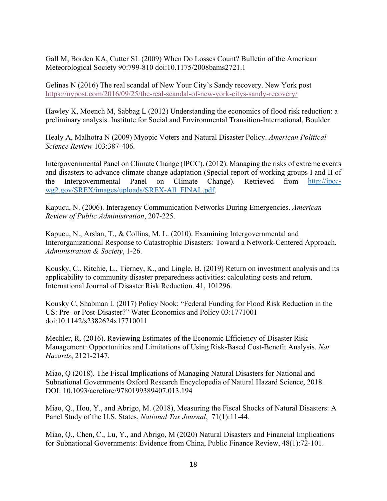Gall M, Borden KA, Cutter SL (2009) When Do Losses Count? Bulletin of the American Meteorological Society 90:799-810 doi:10.1175/2008bams2721.1

Gelinas N (2016) The real scandal of New Your City's Sandy recovery. New York post <https://nypost.com/2016/09/25/the-real-scandal-of-new-york-citys-sandy-recovery/>

Hawley K, Moench M, Sabbag L (2012) Understanding the economics of flood risk reduction: a preliminary analysis. Institute for Social and Environmental Transition-International, Boulder

Healy A, Malhotra N (2009) Myopic Voters and Natural Disaster Policy. *American Political Science Review* 103:387-406.

Intergovernmental Panel on Climate Change (IPCC). (2012). Managing the risks of extreme events and disasters to advance climate change adaptation (Special report of working groups I and II of the Intergovernmental Panel on Climate Change). Retrieved from [http://ipcc](http://ipcc-wg2.gov/SREX/images/uploads/SREX-All_FINAL.pdf)[wg2.gov/SREX/images/uploads/SREX-All\\_FINAL.pdf.](http://ipcc-wg2.gov/SREX/images/uploads/SREX-All_FINAL.pdf)

Kapucu, N. (2006). Interagency Communication Networks During Emergencies. *American Review of Public Administration*, 207-225.

Kapucu, N., Arslan, T., & Collins, M. L. (2010). Examining Intergovernmental and Interorganizational Response to Catastrophic Disasters: Toward a Network-Centered Approach. *Administration & Society*, 1-26.

Kousky, C., Ritchie, L., Tierney, K., and Lingle, B. (2019) Return on investment analysis and its applicability to community disaster preparedness activities: calculating costs and return. International Journal of Disaster Risk Reduction. 41, 101296.

Kousky C, Shabman L (2017) Policy Nook: "Federal Funding for Flood Risk Reduction in the US: Pre- or Post-Disaster?" Water Economics and Policy 03:1771001 doi:10.1142/s2382624x17710011

Mechler, R. (2016). Reviewing Estimates of the Economic Efficiency of Disaster Risk Management: Opportunities and Limitations of Using Risk-Based Cost-Benefit Analysis. *Nat Hazards*, 2121-2147.

Miao, Q (2018). The Fiscal Implications of Managing Natural Disasters for National and Subnational Governments Oxford Research Encyclopedia of Natural Hazard Science, 2018. DOI: 10.1093/acrefore/9780199389407.013.194

Miao, Q., Hou, Y., and Abrigo, M. (2018), Measuring the Fiscal Shocks of Natural Disasters: A Panel Study of the U.S. States, *National Tax Journal*, 71(1):11-44.

Miao, Q., Chen, C., Lu, Y., and Abrigo, M (2020) Natural Disasters and Financial Implications for Subnational Governments: Evidence from China, Public Finance Review, 48(1):72-101.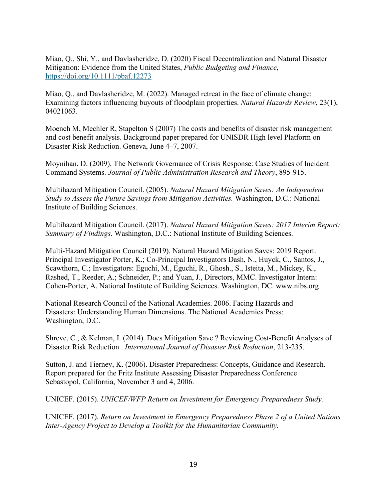Miao, Q., Shi, Y., and Davlasheridze, D. (2020) Fiscal Decentralization and Natural Disaster Mitigation: Evidence from the United States, *Public Budgeting and Finance*, <https://doi.org/10.1111/pbaf.12273>

Miao, Q., and Davlasheridze, M. (2022). Managed retreat in the face of climate change: Examining factors influencing buyouts of floodplain properties. *Natural Hazards Review*, 23(1), 04021063.

Moench M, Mechler R, Stapelton S (2007) The costs and benefits of disaster risk management and cost benefit analysis. Background paper prepared for UNISDR High level Platform on Disaster Risk Reduction. Geneva, June 4–7, 2007.

Moynihan, D. (2009). The Network Governance of Crisis Response: Case Studies of Incident Command Systems. *Journal of Public Administration Research and Theory*, 895-915.

Multihazard Mitigation Council. (2005). *Natural Hazard Mitigation Saves: An Independent Study to Assess the Future Savings from Mitigation Activities.* Washington, D.C.: National Institute of Building Sciences.

Multihazard Mitigation Council. (2017). *Natural Hazard Mitigation Saves: 2017 Interim Report: Summary of Findings.* Washington, D.C.: National Institute of Building Sciences.

Multi-Hazard Mitigation Council (2019). Natural Hazard Mitigation Saves: 2019 Report. Principal Investigator Porter, K.; Co-Principal Investigators Dash, N., Huyck, C., Santos, J., Scawthorn, C.; Investigators: Eguchi, M., Eguchi, R., Ghosh., S., Isteita, M., Mickey, K., Rashed, T., Reeder, A.; Schneider, P.; and Yuan, J., Directors, MMC. Investigator Intern: Cohen-Porter, A. National Institute of Building Sciences. Washington, DC. www.nibs.org

National Research Council of the National Academies. 2006. Facing Hazards and Disasters: Understanding Human Dimensions. The National Academies Press: Washington, D.C.

Shreve, C., & Kelman, I. (2014). Does Mitigation Save ? Reviewing Cost-Benefit Analyses of Disaster Risk Reduction . *International Journal of Disaster Risk Reduction*, 213-235.

Sutton, J. and Tierney, K. (2006). Disaster Preparedness: Concepts, Guidance and Research. Report prepared for the Fritz Institute Assessing Disaster Preparedness Conference Sebastopol, California, November 3 and 4, 2006.

UNICEF. (2015). *UNICEF/WFP Return on Investment for Emergency Preparedness Study.* 

UNICEF. (2017). *Return on Investment in Emergency Preparedness Phase 2 of a United Nations Inter-Agency Project to Develop a Toolkit for the Humanitarian Community.*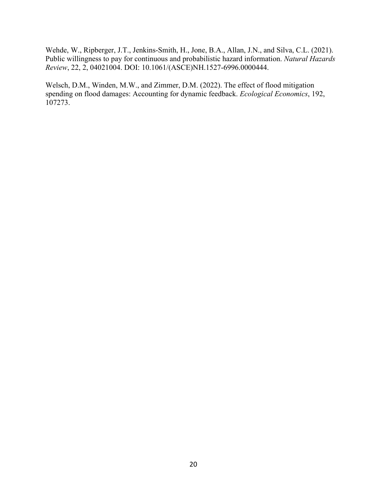Wehde, W., Ripberger, J.T., Jenkins-Smith, H., Jone, B.A., Allan, J.N., and Silva, C.L. (2021). Public willingness to pay for continuous and probabilistic hazard information. *Natural Hazards Review*, 22, 2, 04021004. DOI: 10.1061/(ASCE)NH.1527-6996.0000444.

Welsch, D.M., Winden, M.W., and Zimmer, D.M. (2022). The effect of flood mitigation spending on flood damages: Accounting for dynamic feedback. *Ecological Economics*, 192, 107273.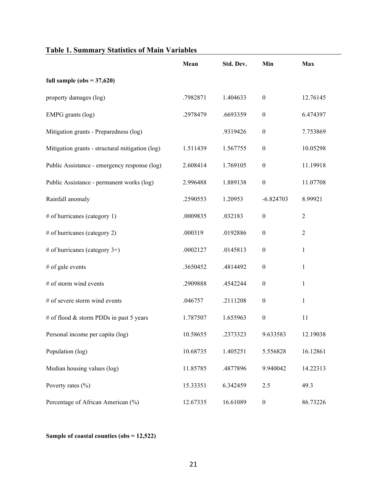| Tadiy 1. Summary Statistics of Main Variables   |          |           |                  |                |
|-------------------------------------------------|----------|-----------|------------------|----------------|
|                                                 | Mean     | Std. Dev. | Min              | <b>Max</b>     |
| full sample ( $obs = 37,620$ )                  |          |           |                  |                |
| property damages (log)                          | .7982871 | 1.404633  | $\boldsymbol{0}$ | 12.76145       |
| EMPG grants (log)                               | .2978479 | .6693359  | $\boldsymbol{0}$ | 6.474397       |
| Mitigation grants - Preparedness (log)          |          | .9319426  | $\boldsymbol{0}$ | 7.753869       |
| Mitigation grants - structural mitigation (log) | 1.511439 | 1.567755  | $\boldsymbol{0}$ | 10.05298       |
| Public Assistance - emergency response (log)    | 2.608414 | 1.769105  | $\boldsymbol{0}$ | 11.19918       |
| Public Assistance - permanent works (log)       | 2.996488 | 1.889138  | $\boldsymbol{0}$ | 11.07708       |
| Rainfall anomaly                                | .2590553 | 1.20953   | $-6.824703$      | 8.99921        |
| # of hurricanes (category 1)                    | .0009835 | .032183   | $\boldsymbol{0}$ | $\overline{2}$ |
| # of hurricanes (category 2)                    | .000319  | .0192886  | $\boldsymbol{0}$ | $\overline{2}$ |
| # of hurricanes (category $3+$ )                | .0002127 | .0145813  | $\boldsymbol{0}$ | 1              |
| # of gale events                                | .3650452 | .4814492  | $\boldsymbol{0}$ | $\mathbf{1}$   |
| # of storm wind events                          | .2909888 | .4542244  | $\boldsymbol{0}$ | 1              |
| # of severe storm wind events                   | .046757  | .2111208  | $\boldsymbol{0}$ | 1              |
| # of flood & storm PDDs in past 5 years         | 1.787507 | 1.655963  | $\boldsymbol{0}$ | 11             |
| Personal income per capita (log)                | 10.58655 | .2373323  | 9.633583         | 12.19038       |
| Population (log)                                | 10.68735 | 1.405251  | 5.556828         | 16.12861       |
| Median housing values (log)                     | 11.85785 | .4877896  | 9.940042         | 14.22313       |
| Poverty rates $(\% )$                           | 15.33351 | 6.342459  | 2.5              | 49.3           |
| Percentage of African American (%)              | 12.67335 | 16.61089  | $\boldsymbol{0}$ | 86.73226       |

# **Table 1. Summary Statistics of Main Variables**

**Sample of coastal counties (obs = 12,522)**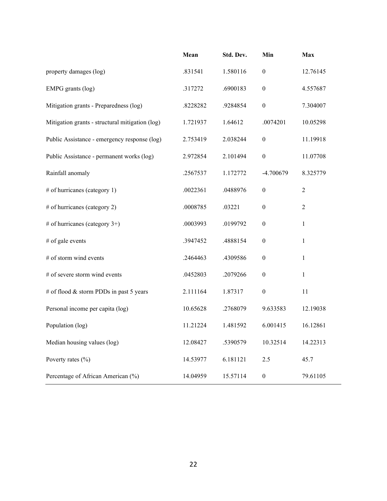|                                                 | Mean     | Std. Dev. | Min              | Max            |
|-------------------------------------------------|----------|-----------|------------------|----------------|
| property damages (log)                          | .831541  | 1.580116  | $\boldsymbol{0}$ | 12.76145       |
| EMPG grants (log)                               | .317272  | .6900183  | $\boldsymbol{0}$ | 4.557687       |
| Mitigation grants - Preparedness (log)          | .8228282 | .9284854  | $\boldsymbol{0}$ | 7.304007       |
| Mitigation grants - structural mitigation (log) | 1.721937 | 1.64612   | .0074201         | 10.05298       |
| Public Assistance - emergency response (log)    | 2.753419 | 2.038244  | $\boldsymbol{0}$ | 11.19918       |
| Public Assistance - permanent works (log)       | 2.972854 | 2.101494  | $\boldsymbol{0}$ | 11.07708       |
| Rainfall anomaly                                | .2567537 | 1.172772  | -4.700679        | 8.325779       |
| # of hurricanes (category 1)                    | .0022361 | .0488976  | $\boldsymbol{0}$ | $\overline{2}$ |
| # of hurricanes (category 2)                    | .0008785 | .03221    | $\boldsymbol{0}$ | $\overline{2}$ |
| # of hurricanes (category $3+$ )                | .0003993 | .0199792  | $\boldsymbol{0}$ | $\mathbf{1}$   |
| # of gale events                                | .3947452 | .4888154  | $\boldsymbol{0}$ | $\mathbf{1}$   |
| # of storm wind events                          | .2464463 | .4309586  | $\boldsymbol{0}$ | $\mathbf{1}$   |
| # of severe storm wind events                   | .0452803 | .2079266  | $\boldsymbol{0}$ | 1              |
| # of flood & storm PDDs in past 5 years         | 2.111164 | 1.87317   | $\boldsymbol{0}$ | 11             |
| Personal income per capita (log)                | 10.65628 | .2768079  | 9.633583         | 12.19038       |
| Population (log)                                | 11.21224 | 1.481592  | 6.001415         | 16.12861       |
| Median housing values (log)                     | 12.08427 | .5390579  | 10.32514         | 14.22313       |
| Poverty rates (%)                               | 14.53977 | 6.181121  | 2.5              | 45.7           |
| Percentage of African American (%)              | 14.04959 | 15.57114  | $\boldsymbol{0}$ | 79.61105       |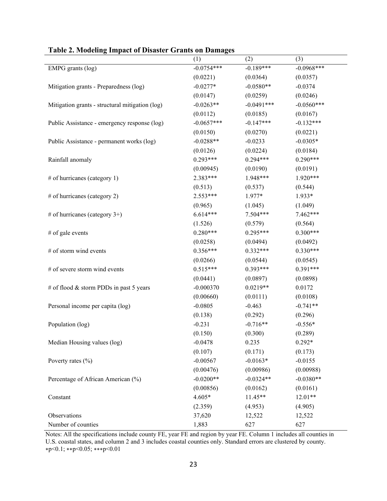|                                                 | (1)          | (2)          | (3)          |
|-------------------------------------------------|--------------|--------------|--------------|
| EMPG grants (log)                               | $-0.0754***$ | $-0.189***$  | $-0.0968***$ |
|                                                 | (0.0221)     | (0.0364)     | (0.0357)     |
| Mitigation grants - Preparedness (log)          | $-0.0277*$   | $-0.0580**$  | $-0.0374$    |
|                                                 | (0.0147)     | (0.0259)     | (0.0246)     |
| Mitigation grants - structural mitigation (log) | $-0.0263**$  | $-0.0491***$ | $-0.0560***$ |
|                                                 | (0.0112)     | (0.0185)     | (0.0167)     |
| Public Assistance - emergency response (log)    | $-0.0657***$ | $-0.147***$  | $-0.132***$  |
|                                                 | (0.0150)     | (0.0270)     | (0.0221)     |
| Public Assistance - permanent works (log)       | $-0.0288**$  | $-0.0233$    | $-0.0305*$   |
|                                                 | (0.0126)     | (0.0224)     | (0.0184)     |
| Rainfall anomaly                                | $0.293***$   | $0.294***$   | $0.290***$   |
|                                                 | (0.00945)    | (0.0190)     | (0.0191)     |
| # of hurricanes (category 1)                    | $2.383***$   | $1.948***$   | $1.920***$   |
|                                                 | (0.513)      | (0.537)      | (0.544)      |
| # of hurricanes (category 2)                    | $2.553***$   | $1.977*$     | $1.933*$     |
|                                                 | (0.965)      | (1.045)      | (1.049)      |
| # of hurricanes (category 3+)                   | $6.614***$   | $7.504***$   | $7.462***$   |
|                                                 | (1.526)      | (0.579)      | (0.564)      |
| # of gale events                                | $0.280***$   | $0.295***$   | $0.300***$   |
|                                                 | (0.0258)     | (0.0494)     | (0.0492)     |
| # of storm wind events                          | $0.356***$   | $0.332***$   | $0.330***$   |
|                                                 | (0.0266)     | (0.0544)     | (0.0545)     |
| # of severe storm wind events                   | $0.515***$   | $0.393***$   | $0.391***$   |
|                                                 | (0.0441)     | (0.0897)     | (0.0898)     |
| # of flood & storm PDDs in past 5 years         | $-0.000370$  | $0.0219**$   | 0.0172       |
|                                                 | (0.00660)    | (0.0111)     | (0.0108)     |
| Personal income per capita (log)                | $-0.0805$    | $-0.463$     | $-0.741**$   |
|                                                 | (0.138)      | (0.292)      | (0.296)      |
| Population (log)                                | $-0.231$     | $-0.716**$   | $-0.556*$    |
|                                                 | (0.150)      | (0.300)      | (0.289)      |
| Median Housing values (log)                     | $-0.0478$    | 0.235        | $0.292*$     |
|                                                 | (0.107)      | (0.171)      | (0.173)      |
| Poverty rates $(\% )$                           | $-0.00567$   | $-0.0163*$   | $-0.0155$    |
|                                                 | (0.00476)    | (0.00986)    | (0.00988)    |
| Percentage of African American (%)              | $-0.0200**$  | $-0.0324**$  | $-0.0380**$  |
|                                                 | (0.00856)    | (0.0162)     | (0.0161)     |
| Constant                                        | $4.605*$     | 11.45**      | $12.01**$    |
|                                                 | (2.359)      | (4.953)      | (4.905)      |
| Observations                                    | 37,620       | 12,522       | 12,522       |
| Number of counties                              | 1,883        | 627          | 627          |

**Table 2. Modeling Impact of Disaster Grants on Damages**

Notes: All the specifications include county FE, year FE and region by year FE. Column 1 includes all counties in U.S. coastal states, and column 2 and 3 includes coastal counties only. Standard errors are clustered by county. ∗p<0.1; ∗∗p<0.05; ∗∗∗p<0.01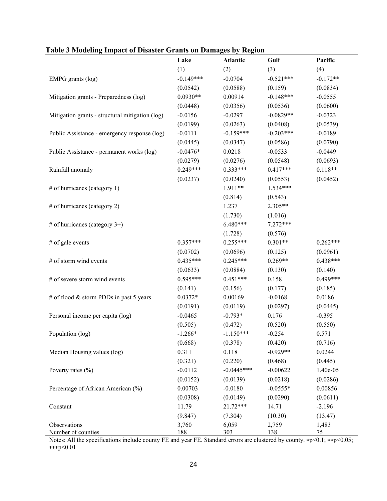|                                                 | Lake        | Atlantic     | Gulf        | Pacific    |
|-------------------------------------------------|-------------|--------------|-------------|------------|
|                                                 | (1)         | (2)          | (3)         | (4)        |
| EMPG grants (log)                               | $-0.149***$ | $-0.0704$    | $-0.521***$ | $-0.172**$ |
|                                                 | (0.0542)    | (0.0588)     | (0.159)     | (0.0834)   |
| Mitigation grants - Preparedness (log)          | $0.0930**$  | 0.00914      | $-0.148***$ | $-0.0555$  |
|                                                 | (0.0448)    | (0.0356)     | (0.0536)    | (0.0600)   |
| Mitigation grants - structural mitigation (log) | $-0.0156$   | $-0.0297$    | $-0.0829**$ | $-0.0323$  |
|                                                 | (0.0199)    | (0.0263)     | (0.0408)    | (0.0539)   |
| Public Assistance - emergency response (log)    | $-0.0111$   | $-0.159***$  | $-0.203***$ | $-0.0189$  |
|                                                 | (0.0445)    | (0.0347)     | (0.0586)    | (0.0790)   |
| Public Assistance - permanent works (log)       | $-0.0476*$  | 0.0218       | $-0.0533$   | $-0.0449$  |
|                                                 | (0.0279)    | (0.0276)     | (0.0548)    | (0.0693)   |
| Rainfall anomaly                                | $0.249***$  | $0.333***$   | $0.417***$  | $0.118**$  |
|                                                 | (0.0237)    | (0.0240)     | (0.0553)    | (0.0452)   |
| # of hurricanes (category 1)                    |             | 1.911**      | $1.534***$  |            |
|                                                 |             | (0.814)      | (0.543)     |            |
| # of hurricanes (category 2)                    |             | 1.237        | 2.305**     |            |
|                                                 |             | (1.730)      | (1.016)     |            |
| # of hurricanes (category $3+$ )                |             | $6.480***$   | $7.272***$  |            |
|                                                 |             | (1.728)      | (0.576)     |            |
| # of gale events                                | $0.357***$  | $0.255***$   | $0.301**$   | $0.262***$ |
|                                                 | (0.0702)    | (0.0696)     | (0.125)     | (0.0961)   |
| # of storm wind events                          | $0.435***$  | $0.245***$   | $0.269**$   | $0.438***$ |
|                                                 | (0.0633)    | (0.0884)     | (0.130)     | (0.140)    |
| # of severe storm wind events                   | $0.595***$  | $0.451***$   | 0.158       | $0.499***$ |
|                                                 | (0.141)     | (0.156)      | (0.177)     | (0.185)    |
| # of flood $&$ storm PDDs in past 5 years       | $0.0372*$   | 0.00169      | $-0.0168$   | 0.0186     |
|                                                 | (0.0191)    | (0.0119)     | (0.0297)    | (0.0445)   |
| Personal income per capita (log)                | $-0.0465$   | $-0.793*$    | 0.176       | $-0.395$   |
|                                                 | (0.505)     | (0.472)      | (0.520)     | (0.550)    |
| Population (log)                                | $-1.266*$   | $-1.150***$  | $-0.254$    | 0.571      |
|                                                 | (0.668)     | (0.378)      | (0.420)     | (0.716)    |
| Median Housing values (log)                     | 0.311       | 0.118        | $-0.929**$  | 0.0244     |
|                                                 | (0.321)     | (0.220)      | (0.468)     | (0.445)    |
| Poverty rates (%)                               | $-0.0112$   | $-0.0445***$ | $-0.00622$  | 1.40e-05   |
|                                                 | (0.0152)    | (0.0139)     | (0.0218)    | (0.0286)   |
| Percentage of African American (%)              | 0.00703     | $-0.0180$    | $-0.0555*$  | 0.00856    |
|                                                 | (0.0308)    | (0.0149)     | (0.0290)    | (0.0611)   |
| Constant                                        | 11.79       | $21.72***$   | 14.71       | $-2.196$   |
|                                                 | (9.847)     | (7.304)      | (10.30)     | (13.47)    |
| Observations                                    | 3,760       | 6,059        | 2,759       | 1,483      |
| Number of counties                              | 188         | 303          | 138         | 75         |

# **Table 3 Modeling Impact of Disaster Grants on Damages by Region**

Notes: All the specifications include county FE and year FE. Standard errors are clustered by county. ∗p<0.1; ∗∗p<0.05; ∗∗∗p<0.01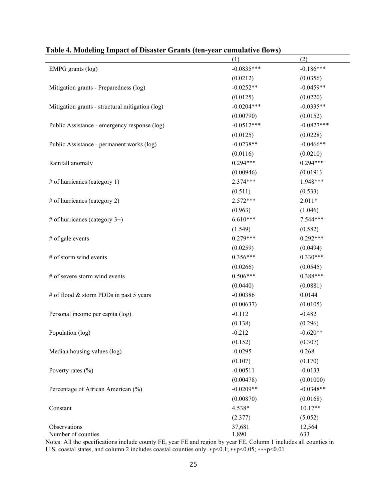|                                                 | (1)          | (2)          |
|-------------------------------------------------|--------------|--------------|
| EMPG grants (log)                               | $-0.0835***$ | $-0.186***$  |
|                                                 | (0.0212)     | (0.0356)     |
| Mitigation grants - Preparedness (log)          | $-0.0252**$  | $-0.0459**$  |
|                                                 | (0.0125)     | (0.0220)     |
| Mitigation grants - structural mitigation (log) | $-0.0204***$ | $-0.0335**$  |
|                                                 | (0.00790)    | (0.0152)     |
| Public Assistance - emergency response (log)    | $-0.0512***$ | $-0.0827***$ |
|                                                 | (0.0125)     | (0.0228)     |
| Public Assistance - permanent works (log)       | $-0.0238**$  | $-0.0466**$  |
|                                                 | (0.0116)     | (0.0210)     |
| Rainfall anomaly                                | $0.294***$   | $0.294***$   |
|                                                 | (0.00946)    | (0.0191)     |
| # of hurricanes (category 1)                    | $2.374***$   | 1.948***     |
|                                                 | (0.511)      | (0.533)      |
| # of hurricanes (category 2)                    | $2.572***$   | $2.011*$     |
|                                                 | (0.963)      | (1.046)      |
| # of hurricanes (category $3+$ )                | $6.610***$   | $7.544***$   |
|                                                 | (1.549)      | (0.582)      |
| # of gale events                                | $0.279***$   | $0.292***$   |
|                                                 | (0.0259)     | (0.0494)     |
| # of storm wind events                          | $0.356***$   | $0.330***$   |
|                                                 | (0.0266)     | (0.0545)     |
| # of severe storm wind events                   | $0.506***$   | $0.388***$   |
|                                                 | (0.0440)     | (0.0881)     |
| # of flood & storm PDDs in past 5 years         | $-0.00386$   | 0.0144       |
|                                                 | (0.00637)    | (0.0105)     |
| Personal income per capita (log)                | $-0.112$     | $-0.482$     |
|                                                 | (0.138)      | (0.296)      |
| Population (log)                                | $-0.212$     | $-0.620**$   |
|                                                 | (0.152)      | (0.307)      |
| Median housing values (log)                     | $-0.0295$    | 0.268        |
|                                                 | (0.107)      | (0.170)      |
| Poverty rates $(\% )$                           | $-0.00511$   | $-0.0133$    |
|                                                 | (0.00478)    | (0.01000)    |
| Percentage of African American (%)              | $-0.0209**$  | $-0.0348**$  |
|                                                 | (0.00870)    | (0.0168)     |
| Constant                                        | 4.538*       | $10.17**$    |
|                                                 | (2.377)      | (5.052)      |
| Observations                                    | 37,681       | 12,564       |
| Number of counties                              | 1,890        | 633          |

# **Table 4. Modeling Impact of Disaster Grants (ten-year cumulative flows)**

Notes: All the specifications include county FE, year FE and region by year FE. Column 1 includes all counties in U.S. coastal states, and column 2 includes coastal counties only. ∗p<0.1; ∗∗p<0.05; ∗∗∗p<0.01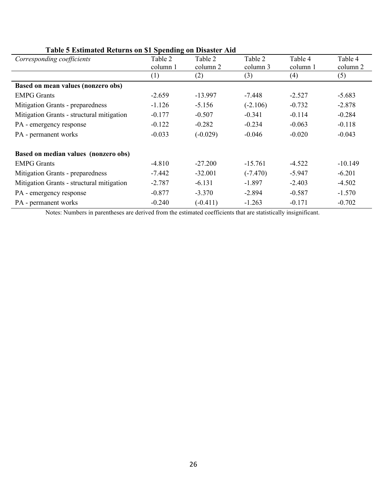| Table 5 Estimated Iteral as on \$1 Spending on Disaster Thu<br>Corresponding coefficients | Table 2  | Table 2    | Table 2    | Table 4  | Table 4   |
|-------------------------------------------------------------------------------------------|----------|------------|------------|----------|-----------|
|                                                                                           | column 1 | column 2   | column 3   | column 1 | column 2  |
|                                                                                           | (1)      | (2)        | (3)        | (4)      | (5)       |
| <b>Based on mean values (nonzero obs)</b>                                                 |          |            |            |          |           |
| <b>EMPG Grants</b>                                                                        | $-2.659$ | $-13.997$  | -7.448     | $-2.527$ | $-5.683$  |
| Mitigation Grants - preparedness                                                          | $-1.126$ | $-5.156$   | $(-2.106)$ | $-0.732$ | $-2.878$  |
| Mitigation Grants - structural mitigation                                                 | $-0.177$ | $-0.507$   | $-0.341$   | $-0.114$ | $-0.284$  |
| PA - emergency response                                                                   | $-0.122$ | $-0.282$   | $-0.234$   | $-0.063$ | $-0.118$  |
| PA - permanent works                                                                      | $-0.033$ | $(-0.029)$ | $-0.046$   | $-0.020$ | $-0.043$  |
| Based on median values (nonzero obs)                                                      |          |            |            |          |           |
| <b>EMPG</b> Grants                                                                        | $-4.810$ | $-27.200$  | $-15.761$  | $-4.522$ | $-10.149$ |
| Mitigation Grants - preparedness                                                          | $-7.442$ | $-32.001$  | $(-7.470)$ | $-5.947$ | $-6.201$  |
| Mitigation Grants - structural mitigation                                                 | $-2.787$ | $-6.131$   | $-1.897$   | $-2.403$ | $-4.502$  |
| PA - emergency response                                                                   | $-0.877$ | $-3.370$   | $-2.894$   | $-0.587$ | $-1.570$  |
| PA - permanent works                                                                      | $-0.240$ | $(-0.411)$ | $-1.263$   | $-0.171$ | $-0.702$  |

# **Table 5 Estimated Returns on \$1 Spending on Disaster Aid**

Notes: Numbers in parentheses are derived from the estimated coefficients that are statistically insignificant.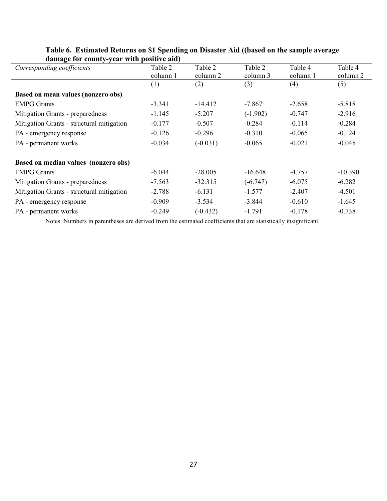| $\alpha$ and $\alpha$ and $\alpha$ and $\alpha$ and $\alpha$ and $\alpha$ |          |            |            |          |           |
|---------------------------------------------------------------------------|----------|------------|------------|----------|-----------|
| Corresponding coefficients                                                | Table 2  | Table 2    | Table 2    | Table 4  | Table 4   |
|                                                                           | column 1 | column 2   | column 3   | column 1 | column 2  |
|                                                                           | (1)      | (2)        | (3)        | (4)      | (5)       |
| <b>Based on mean values (nonzero obs)</b>                                 |          |            |            |          |           |
| <b>EMPG</b> Grants                                                        | $-3.341$ | $-14.412$  | $-7.867$   | $-2.658$ | $-5.818$  |
| Mitigation Grants - preparedness                                          | $-1.145$ | $-5.207$   | $(-1.902)$ | $-0.747$ | $-2.916$  |
| Mitigation Grants - structural mitigation                                 | $-0.177$ | $-0.507$   | $-0.284$   | $-0.114$ | $-0.284$  |
| PA - emergency response                                                   | $-0.126$ | $-0.296$   | $-0.310$   | $-0.065$ | $-0.124$  |
| PA - permanent works                                                      | $-0.034$ | $(-0.031)$ | $-0.065$   | $-0.021$ | $-0.045$  |
| Based on median values (nonzero obs)                                      |          |            |            |          |           |
| <b>EMPG</b> Grants                                                        | $-6.044$ | $-28.005$  | $-16.648$  | $-4.757$ | $-10.390$ |
| Mitigation Grants - preparedness                                          | $-7.563$ | $-32.315$  | $(-6.747)$ | $-6.075$ | $-6.282$  |
| Mitigation Grants - structural mitigation                                 | $-2.788$ | $-6.131$   | $-1.577$   | $-2.407$ | $-4.501$  |
| PA - emergency response                                                   | $-0.909$ | $-3.534$   | $-3.844$   | $-0.610$ | $-1.645$  |
| PA - permanent works                                                      | $-0.249$ | $(-0.432)$ | $-1.791$   | $-0.178$ | $-0.738$  |

# **Table 6. Estimated Returns on \$1 Spending on Disaster Aid ((based on the sample average damage for county-year with positive aid)**

Notes: Numbers in parentheses are derived from the estimated coefficients that are statistically insignificant.